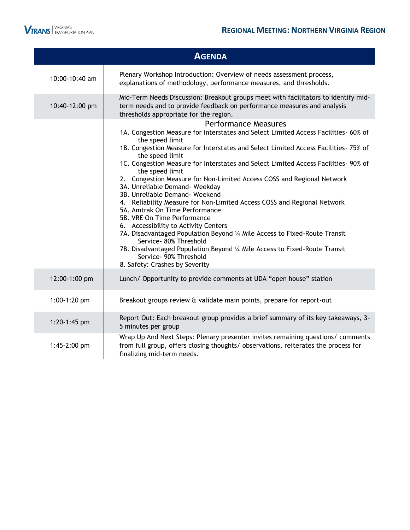

|                | <b>AGENDA</b>                                                                                                                                                                                                                                                                                                                                                                                                                                                                                                                                                                                                                                                                                                                                                                                                                                                                                                                                 |
|----------------|-----------------------------------------------------------------------------------------------------------------------------------------------------------------------------------------------------------------------------------------------------------------------------------------------------------------------------------------------------------------------------------------------------------------------------------------------------------------------------------------------------------------------------------------------------------------------------------------------------------------------------------------------------------------------------------------------------------------------------------------------------------------------------------------------------------------------------------------------------------------------------------------------------------------------------------------------|
| 10:00-10:40 am | Plenary Workshop Introduction: Overview of needs assessment process,<br>explanations of methodology, performance measures, and thresholds.                                                                                                                                                                                                                                                                                                                                                                                                                                                                                                                                                                                                                                                                                                                                                                                                    |
| 10:40-12:00 pm | Mid-Term Needs Discussion: Breakout groups meet with facilitators to identify mid-<br>term needs and to provide feedback on performance measures and analysis<br>thresholds appropriate for the region.                                                                                                                                                                                                                                                                                                                                                                                                                                                                                                                                                                                                                                                                                                                                       |
|                | <b>Performance Measures</b><br>1A. Congestion Measure for Interstates and Select Limited Access Facilities- 60% of<br>the speed limit<br>1B. Congestion Measure for Interstates and Select Limited Access Facilities- 75% of<br>the speed limit<br>1C. Congestion Measure for Interstates and Select Limited Access Facilities- 90% of<br>the speed limit<br>2. Congestion Measure for Non-Limited Access COSS and Regional Network<br>3A. Unreliable Demand- Weekday<br>3B. Unreliable Demand- Weekend<br>4. Reliability Measure for Non-Limited Access COSS and Regional Network<br>5A. Amtrak On Time Performance<br>5B. VRE On Time Performance<br>6. Accessibility to Activity Centers<br>7A. Disadvantaged Population Beyond 1/4 Mile Access to Fixed-Route Transit<br>Service- 80% Threshold<br>7B. Disadvantaged Population Beyond 1/4 Mile Access to Fixed-Route Transit<br>Service- 90% Threshold<br>8. Safety: Crashes by Severity |
| 12:00-1:00 pm  | Lunch/ Opportunity to provide comments at UDA "open house" station                                                                                                                                                                                                                                                                                                                                                                                                                                                                                                                                                                                                                                                                                                                                                                                                                                                                            |
| 1:00-1:20 pm   | Breakout groups review & validate main points, prepare for report-out                                                                                                                                                                                                                                                                                                                                                                                                                                                                                                                                                                                                                                                                                                                                                                                                                                                                         |
| 1:20-1:45 pm   | Report Out: Each breakout group provides a brief summary of its key takeaways, 3-<br>5 minutes per group                                                                                                                                                                                                                                                                                                                                                                                                                                                                                                                                                                                                                                                                                                                                                                                                                                      |
| 1:45-2:00 pm   | Wrap Up And Next Steps: Plenary presenter invites remaining questions/ comments<br>from full group, offers closing thoughts/ observations, reiterates the process for<br>finalizing mid-term needs.                                                                                                                                                                                                                                                                                                                                                                                                                                                                                                                                                                                                                                                                                                                                           |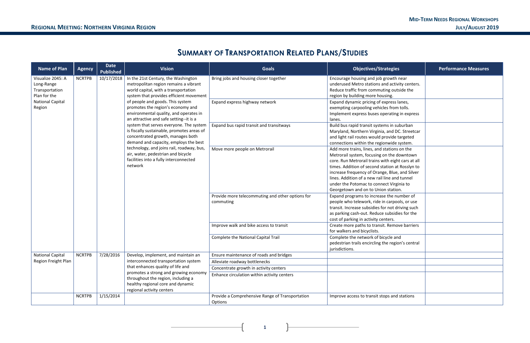**1**

## **SUMMARY OF TRANSPORTATION RELATED PLANS/STUDIES**

| <b>Name of Plan</b>                                               | <b>Agency</b> | <b>Date</b><br><b>Published</b>                                                                                                      | <b>Vision</b>                                                                                                                                                                                                                                                                                                                     | <b>Goals</b>                                                                                                                                                                                      | <b>Objectives/Strategies</b>                                                                                                                                                                                                            | <b>Performance Measures</b> |
|-------------------------------------------------------------------|---------------|--------------------------------------------------------------------------------------------------------------------------------------|-----------------------------------------------------------------------------------------------------------------------------------------------------------------------------------------------------------------------------------------------------------------------------------------------------------------------------------|---------------------------------------------------------------------------------------------------------------------------------------------------------------------------------------------------|-----------------------------------------------------------------------------------------------------------------------------------------------------------------------------------------------------------------------------------------|-----------------------------|
| Visualize 2045: A<br>Long-Range<br>Transportation<br>Plan for the | <b>NCRTPB</b> | 10/17/2018                                                                                                                           | In the 21st Century, the Washington<br>metropolitan region remains a vibrant<br>world capital, with a transportation<br>system that provides efficient movement                                                                                                                                                                   | Bring jobs and housing closer together                                                                                                                                                            | Encourage housing and job growth near<br>underused Metro stations and activity centers.<br>Reduce traffic from commuting outside the<br>region by building more housing.                                                                |                             |
| <b>National Capital</b><br>Region                                 |               |                                                                                                                                      | of people and goods. This system<br>promotes the region's economy and<br>environmental quality, and operates in<br>an attractive and safe setting--it is a<br>system that serves everyone. The system<br>is fiscally sustainable, promotes areas of<br>concentrated growth, manages both<br>demand and capacity, employs the best | Expand express highway network                                                                                                                                                                    | Expand dynamic pricing of express lanes,<br>exempting carpooling vehicles from tolls.<br>Implement express buses operating in express<br>lanes.                                                                                         |                             |
|                                                                   |               |                                                                                                                                      |                                                                                                                                                                                                                                                                                                                                   | Expand bus rapid transit and transitways                                                                                                                                                          | Build bus rapid transit systems in suburban<br>Maryland, Northern Virginia, and DC. Streetcar<br>and light rail routes would provide targeted<br>connections within the regionwide system.                                              |                             |
|                                                                   |               | technology, and joins rail, roadway, bus,<br>air, water, pedestrian and bicycle<br>facilities into a fully interconnected<br>network | Move more people on Metrorail                                                                                                                                                                                                                                                                                                     | Add more trains, lines, and stations on the<br>Metrorail system, focusing on the downtown<br>core. Run Metrorail trains with eight cars at all<br>times. Addition of second station at Rosslyn to |                                                                                                                                                                                                                                         |                             |
|                                                                   |               |                                                                                                                                      |                                                                                                                                                                                                                                                                                                                                   | increase frequency of Orange, Blue, and Silver<br>lines. Addition of a new rail line and tunnel<br>under the Potomac to connect Virginia to<br>Georgetown and on to Union station.                |                                                                                                                                                                                                                                         |                             |
|                                                                   |               |                                                                                                                                      |                                                                                                                                                                                                                                                                                                                                   | Provide more telecommuting and other options for<br>commuting                                                                                                                                     | Expand programs to increase the number of<br>people who telework, ride in carpools, or use<br>transit. Increase subsidies for not driving such<br>as parking cash-out. Reduce subsidies for the<br>cost of parking in activity centers. |                             |
|                                                                   |               |                                                                                                                                      |                                                                                                                                                                                                                                                                                                                                   | Improve walk and bike access to transit                                                                                                                                                           | Create more paths to transit. Remove barriers<br>for walkers and bicyclists.                                                                                                                                                            |                             |
|                                                                   |               |                                                                                                                                      | Complete the National Capital Trail                                                                                                                                                                                                                                                                                               | Complete the network of bicycle and<br>pedestrian trails encircling the region's central<br>jurisdictions.                                                                                        |                                                                                                                                                                                                                                         |                             |
| <b>National Capital</b>                                           | <b>NCRTPB</b> | 7/28/2016                                                                                                                            | Develop, implement, and maintain an                                                                                                                                                                                                                                                                                               | Ensure maintenance of roads and bridges                                                                                                                                                           |                                                                                                                                                                                                                                         |                             |
| Region Freight Plan                                               |               |                                                                                                                                      | interconnected transportation system                                                                                                                                                                                                                                                                                              | Alleviate roadway bottlenecks                                                                                                                                                                     |                                                                                                                                                                                                                                         |                             |
|                                                                   |               |                                                                                                                                      | that enhances quality of life and                                                                                                                                                                                                                                                                                                 | Concentrate growth in activity centers                                                                                                                                                            |                                                                                                                                                                                                                                         |                             |
|                                                                   |               |                                                                                                                                      | promotes a strong and growing economy<br>throughout the region, including a<br>healthy regional core and dynamic<br>regional activity centers                                                                                                                                                                                     | Enhance circulation within activity centers                                                                                                                                                       |                                                                                                                                                                                                                                         |                             |
|                                                                   | <b>NCRTPB</b> | 1/15/2014                                                                                                                            |                                                                                                                                                                                                                                                                                                                                   | Provide a Comprehensive Range of Transportation<br>Options                                                                                                                                        | Improve access to transit stops and stations                                                                                                                                                                                            |                             |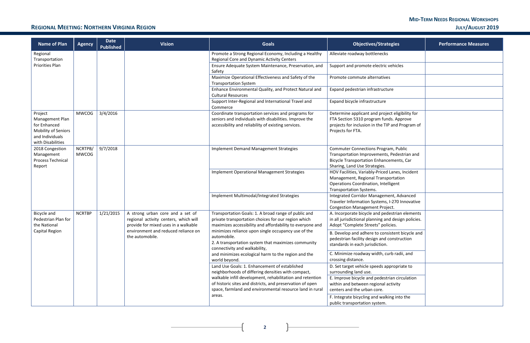| egies                                              | <b>Performance Measures</b> |
|----------------------------------------------------|-----------------------------|
|                                                    |                             |
| ehicles                                            |                             |
|                                                    |                             |
| re                                                 |                             |
|                                                    |                             |
| t eligibility for<br>ls. Approve<br>and Program of |                             |
| m, Public<br>Pedestrian and<br>ments, Car          |                             |
| anes, Incident<br>ortation<br>igent                |                             |
| nt, Advanced<br>-270 Innovative<br>ct.             |                             |
| estrian elements<br>d design policies.<br>ies.     |                             |
| stent bicycle and<br>onstruction                   |                             |
| rb radii, and                                      |                             |
| propriate to                                       |                             |
| an circulation<br>tivity                           |                             |
| ng into the                                        |                             |

### **REGIONAL MEETING: NORTHERN VIRGINIA REGION JULY/AUGUST 2019**

| <b>Name of Plan</b>                                                                                       | <b>Agency</b>           | <b>Date</b><br><b>Published</b> | <b>Vision</b>                                                                                                     | <b>Goals</b>                                                                                                                                                             | <b>Objectives/Strategies</b>                                                                                                                                                   | <b>Performance Measures</b>                                                                                                       |  |  |  |                                             |                                                                                                                                                           |  |
|-----------------------------------------------------------------------------------------------------------|-------------------------|---------------------------------|-------------------------------------------------------------------------------------------------------------------|--------------------------------------------------------------------------------------------------------------------------------------------------------------------------|--------------------------------------------------------------------------------------------------------------------------------------------------------------------------------|-----------------------------------------------------------------------------------------------------------------------------------|--|--|--|---------------------------------------------|-----------------------------------------------------------------------------------------------------------------------------------------------------------|--|
| Regional<br>Transportation                                                                                |                         |                                 |                                                                                                                   | Promote a Strong Regional Economy, Including a Healthy<br>Regional Core and Dynamic Activity Centers                                                                     | Alleviate roadway bottlenecks                                                                                                                                                  |                                                                                                                                   |  |  |  |                                             |                                                                                                                                                           |  |
| Priorities Plan                                                                                           |                         |                                 |                                                                                                                   | Ensure Adequate System Maintenance, Preservation, and<br>Safety                                                                                                          | Support and promote electric vehicles                                                                                                                                          |                                                                                                                                   |  |  |  |                                             |                                                                                                                                                           |  |
|                                                                                                           |                         |                                 |                                                                                                                   | Maximize Operational Effectiveness and Safety of the<br><b>Transportation System</b>                                                                                     | Promote commute alternatives                                                                                                                                                   |                                                                                                                                   |  |  |  |                                             |                                                                                                                                                           |  |
|                                                                                                           |                         |                                 |                                                                                                                   | Enhance Environmental Quality, and Protect Natural and<br><b>Cultural Resources</b>                                                                                      | Expand pedestrian infrastructure                                                                                                                                               |                                                                                                                                   |  |  |  |                                             |                                                                                                                                                           |  |
|                                                                                                           |                         |                                 |                                                                                                                   | Support Inter-Regional and International Travel and<br>Commerce                                                                                                          | Expand bicycle infrastructure                                                                                                                                                  |                                                                                                                                   |  |  |  |                                             |                                                                                                                                                           |  |
| Project<br>Management Plan<br>for Enhanced<br>Mobility of Seniors<br>and Individuals<br>with Disabilities | <b>MWCOG</b>            | 3/4/2016                        |                                                                                                                   | Coordinate transportation services and programs for<br>seniors and individuals with disabilities. Improve the<br>accessibility and reliability of existing services.     | Determine applicant and project eligibility for<br>FTA Section 5310 program funds. Approve<br>projects for inclusion in the TIP and Program of<br>Projects for FTA.            |                                                                                                                                   |  |  |  |                                             |                                                                                                                                                           |  |
| 2018 Congestion<br>Management<br><b>Process Technical</b><br>Report                                       | NCRTPB/<br><b>MWCOG</b> | 9/7/2018                        |                                                                                                                   | <b>Implement Demand Management Strategies</b>                                                                                                                            | <b>Commuter Connections Program, Public</b><br>Transportation Improvements, Pedestrian and<br><b>Bicycle Transportation Enhancements, Car</b><br>Sharing, Land Use Strategies. |                                                                                                                                   |  |  |  |                                             |                                                                                                                                                           |  |
|                                                                                                           |                         |                                 |                                                                                                                   |                                                                                                                                                                          |                                                                                                                                                                                |                                                                                                                                   |  |  |  | Implement Operational Management Strategies | HOV Facilities, Variably-Priced Lanes, Incident<br>Management, Regional Transportation<br>Operations Coordination, Intelligent<br>Transportation Systems. |  |
|                                                                                                           |                         |                                 |                                                                                                                   | Implement Multimodal/Integrated Strategies                                                                                                                               | Integrated Corridor Management, Advanced<br>Traveler Information Systems, I-270 Innovative<br><b>Congestion Management Project.</b>                                            |                                                                                                                                   |  |  |  |                                             |                                                                                                                                                           |  |
| Bicycle and<br>Pedestrian Plan for<br>the National                                                        | <b>NCRTBP</b>           | 1/21/2015                       | A strong urban core and a set of<br>regional activity centers, which will<br>provide for mixed uses in a walkable | Transportation Goals: 1. A broad range of public and<br>private transportation choices for our region which<br>maximizes accessibility and affordability to everyone and | A. Incorporate bicycle and pedestrian elements<br>in all jurisdictional planning and design policies.<br>Adopt "Complete Streets" policies.                                    |                                                                                                                                   |  |  |  |                                             |                                                                                                                                                           |  |
| Capital Region                                                                                            |                         |                                 |                                                                                                                   | environment and reduced reliance on<br>the automobile.                                                                                                                   | minimizes reliance upon single occupancy use of the<br>automobile.<br>2. A transportation system that maximizes community<br>connectivity and walkability,                     | B. Develop and adhere to consistent bicycle and<br>pedestrian facility design and construction<br>standards in each jurisdiction. |  |  |  |                                             |                                                                                                                                                           |  |
|                                                                                                           |                         |                                 |                                                                                                                   | and minimizes ecological harm to the region and the<br>world beyond.                                                                                                     | C. Minimize roadway width, curb radii, and<br>crossing distance.                                                                                                               |                                                                                                                                   |  |  |  |                                             |                                                                                                                                                           |  |
|                                                                                                           |                         |                                 |                                                                                                                   | Land Use Goals: 1. Enhancement of established<br>neighborhoods of differing densities with compact,<br>walkable infill development, rehabilitation and retention         | D. Set target vehicle speeds appropriate to<br>surrounding land use.<br>E. Improve bicycle and pedestrian circulation                                                          |                                                                                                                                   |  |  |  |                                             |                                                                                                                                                           |  |
|                                                                                                           |                         |                                 |                                                                                                                   | of historic sites and districts, and preservation of open<br>space, farmland and environmental resource land in rural                                                    | within and between regional activity<br>centers and the urban core.                                                                                                            |                                                                                                                                   |  |  |  |                                             |                                                                                                                                                           |  |
|                                                                                                           |                         |                                 |                                                                                                                   | areas.                                                                                                                                                                   | F. Integrate bicycling and walking into the<br>public transportation system.                                                                                                   |                                                                                                                                   |  |  |  |                                             |                                                                                                                                                           |  |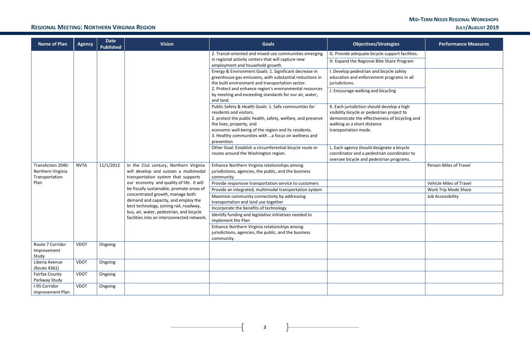### **REGIONAL MEETING: NORTHERN VIRGINIA REGION JULY/AUGUST 2019**

**3**

 $\overline{+}$ 

| <b>Name of Plan</b>                                      | <b>Agency</b> | <b>Date</b><br><b>Published</b> | <b>Vision</b>                                                                                                          | <b>Goals</b>                                                                                                                                                                                                                                                                                              | <b>Objectives/Strategies</b>                                                                                                                                                                       | <b>Performance Measures</b>    |
|----------------------------------------------------------|---------------|---------------------------------|------------------------------------------------------------------------------------------------------------------------|-----------------------------------------------------------------------------------------------------------------------------------------------------------------------------------------------------------------------------------------------------------------------------------------------------------|----------------------------------------------------------------------------------------------------------------------------------------------------------------------------------------------------|--------------------------------|
|                                                          |               |                                 |                                                                                                                        | 2. Transit-oriented and mixed-use communities emerging<br>in regional activity centers that will capture new<br>employment and household growth.                                                                                                                                                          | G. Provide adequate bicycle support facilities.<br>H. Expand the Regional Bike Share Program                                                                                                       |                                |
|                                                          |               |                                 |                                                                                                                        | Energy & Environment Goals: 1. Significant decrease in<br>greenhouse gas emissions, with substantial reductions in<br>the built environment and transportation sector.                                                                                                                                    | I. Develop pedestrian and bicycle safety<br>education and enforcement programs in all<br>jurisdictions.                                                                                            |                                |
|                                                          |               |                                 |                                                                                                                        | 2. Protect and enhance region's environmental resources<br>by meeting and exceeding standards for our air, water,<br>and land.                                                                                                                                                                            | J. Encourage walking and bicycling                                                                                                                                                                 |                                |
|                                                          |               |                                 |                                                                                                                        | Public Safety & Health Goals: 1. Safe communities for<br>residents and visitors.<br>2. protect the public health, safety, welfare, and preserve<br>the lives, property, and<br>economic well-being of the region and its residents.<br>3. Healthy communities with  a focus on wellness and<br>prevention | K. Each jurisdiction should develop a high<br>visibility bicycle or pedestrian project to<br>demonstrate the effectiveness of bicycling and<br>walking as a short distance<br>transportation mode. |                                |
|                                                          |               |                                 |                                                                                                                        | Other Goal: Establish a circumferential bicycle route or<br>routes around the Washington region.                                                                                                                                                                                                          | L. Each agency should designate a bicycle<br>coordinator and a pedestrian coordinator to<br>oversee bicycle and pedestrian programs.                                                               |                                |
| TransAction 2040:<br>Northern Virginia<br>Transportation | <b>NVTA</b>   | 11/1/2012                       | In the 21st century, Northern Virginia<br>will develop and sustain a multimodal<br>transportation system that supports | Enhance Northern Virginia relationships among<br>jurisdictions, agencies, the public, and the business<br>community.                                                                                                                                                                                      |                                                                                                                                                                                                    | Person Miles of Travel         |
| Plan                                                     |               |                                 | our economy and quality of life. It will                                                                               | Provide responsive transportation service to customers                                                                                                                                                                                                                                                    |                                                                                                                                                                                                    | <b>Vehicle Miles of Travel</b> |
|                                                          |               |                                 | be fiscally sustainable, promote areas of                                                                              | Provide an integrated, multimodal transportation system                                                                                                                                                                                                                                                   |                                                                                                                                                                                                    | Work Trip Mode Share           |
|                                                          |               |                                 | concentrated growth, manage both<br>demand and capacity, and employ the<br>best technology, joining rail, roadway,     | Maximize community connectivity by addressing<br>transportation and land use together                                                                                                                                                                                                                     |                                                                                                                                                                                                    | Job Accessibility              |
|                                                          |               |                                 | bus, air, water, pedestrian, and bicycle                                                                               | Incorporate the benefits of technology                                                                                                                                                                                                                                                                    |                                                                                                                                                                                                    |                                |
|                                                          |               |                                 | facilities into an interconnected network.                                                                             | Identify funding and legislative initiatives needed to<br>implement the Plan                                                                                                                                                                                                                              |                                                                                                                                                                                                    |                                |
|                                                          |               |                                 |                                                                                                                        | Enhance Northern Virginia relationships among<br>jurisdictions, agencies, the public, and the business<br>community.                                                                                                                                                                                      |                                                                                                                                                                                                    |                                |
| Route 7 Corridor<br>Improvement<br>Study                 | <b>VDOT</b>   | Ongoing                         |                                                                                                                        |                                                                                                                                                                                                                                                                                                           |                                                                                                                                                                                                    |                                |
| Liberia Avenue<br>(Route 4361)                           | <b>VDOT</b>   | Ongoing                         |                                                                                                                        |                                                                                                                                                                                                                                                                                                           |                                                                                                                                                                                                    |                                |
| <b>Fairfax County</b><br>Parkway Study                   | <b>VDOT</b>   | Ongoing                         |                                                                                                                        |                                                                                                                                                                                                                                                                                                           |                                                                                                                                                                                                    |                                |
| I-95 Corridor<br>Improvement Plan                        | <b>VDOT</b>   | Ongoing                         |                                                                                                                        |                                                                                                                                                                                                                                                                                                           |                                                                                                                                                                                                    |                                |

 $\overline{\phantom{0}}$ 

| egies                         | <b>Performance Measures</b> |
|-------------------------------|-----------------------------|
| pport facilities.             |                             |
| are Program                   |                             |
| le safety                     |                             |
| ograms in all                 |                             |
| ing                           |                             |
|                               |                             |
| elop a high                   |                             |
| roject to<br>of bicycling and |                             |
|                               |                             |
|                               |                             |
|                               |                             |
| e a bicycle<br>oordinator to  |                             |
| programs.                     |                             |
|                               | Person Miles of Travel      |
|                               |                             |
|                               | Vehicle Miles of Travel     |
|                               | Work Trip Mode Share        |
|                               | Job Accessibility           |
|                               |                             |
|                               |                             |
|                               |                             |
|                               |                             |
|                               |                             |
|                               |                             |
|                               |                             |
|                               |                             |
|                               |                             |
|                               |                             |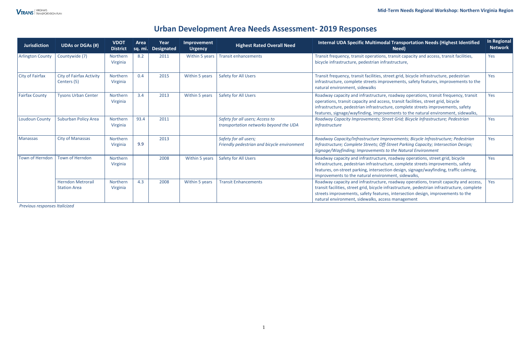## **Urban Development Area Needs Assessment- 2019 Responses**

*Previous responses Italicized* 

| <b>Jurisdiction</b>     | <b>UDAs or DGAs (#)</b>                         | <b>VDOT</b><br><b>District</b> | Area | Year<br>sq. mi. Designated | Improvement<br><b>Urgency</b>                                                                                                                                                                                                                                                                                                                                                                                                                                                                                                                                              | Internal UDA Specific Multimodal Transportation Needs (Highest Identified<br><b>Highest Rated Overall Need</b><br>Need) |                                                                                                                                                                                                                                                                                                                               | In Regional<br><b>Network</b> |
|-------------------------|-------------------------------------------------|--------------------------------|------|----------------------------|----------------------------------------------------------------------------------------------------------------------------------------------------------------------------------------------------------------------------------------------------------------------------------------------------------------------------------------------------------------------------------------------------------------------------------------------------------------------------------------------------------------------------------------------------------------------------|-------------------------------------------------------------------------------------------------------------------------|-------------------------------------------------------------------------------------------------------------------------------------------------------------------------------------------------------------------------------------------------------------------------------------------------------------------------------|-------------------------------|
| <b>Arlington County</b> | Countywide (7)                                  | Northern<br>Virginia           | 8.2  | 2011                       | Within 5 years                                                                                                                                                                                                                                                                                                                                                                                                                                                                                                                                                             | <b>Transit enhancements</b>                                                                                             | Transit frequency, transit operations, transit capacity and access, transit facilities,<br>bicycle infrastructure, pedestrian infrastructure,                                                                                                                                                                                 | Yes                           |
| <b>City of Fairfax</b>  | <b>City of Fairfax Activity</b><br>Centers (5)  | Northern<br>Virginia           | 0.4  | 2015                       | Safety for All Users<br>Within 5 years<br>Transit frequency, transit facilities, street grid, bicycle infrastructure, pedestrian<br>infrastructure, complete streets improvements, safety features, improvements to the<br>natural environment, sidewalks<br>Within 5 years<br><b>Safety for All Users</b><br>Roadway capacity and infrastructure, roadway operations, transit frequency, transit<br>operations, transit capacity and access, transit facilities, street grid, bicycle<br>infrastructure, pedestrian infrastructure, complete streets improvements, safety |                                                                                                                         | <b>Yes</b>                                                                                                                                                                                                                                                                                                                    |                               |
| <b>Fairfax County</b>   | <b>Tysons Urban Center</b>                      | Northern<br>Virginia           | 3.4  | 2013                       |                                                                                                                                                                                                                                                                                                                                                                                                                                                                                                                                                                            |                                                                                                                         | features, signage/wayfinding, improvements to the natural environment, sidewalks,                                                                                                                                                                                                                                             |                               |
| <b>Loudoun County</b>   | Suburban Policy Area                            | Northern<br>Virginia           | 93.4 | 2011                       |                                                                                                                                                                                                                                                                                                                                                                                                                                                                                                                                                                            | Safety for all users; Access to<br>transportation networks beyond the UDA                                               | Roadway Capacity Improvements; Street Grid; Bicycle Infrastructure; Pedestrian<br><b>Infrastructure</b>                                                                                                                                                                                                                       |                               |
| Manassas                | <b>City of Manassas</b>                         | Northern<br>Virginia           | 9.9  | 2013                       |                                                                                                                                                                                                                                                                                                                                                                                                                                                                                                                                                                            | Safety for all users;<br>Friendly pedestrian and bicycle environment                                                    | Roadway Capacity/Infrastructure Improvements; Bicycle Infrastructure; Pedestrian<br>Infrastructure; Complete Streets; Off-Street Parking Capacity; Intersection Design;<br>Signage/Wayfinding; Improvements to the Natural Environment                                                                                        |                               |
| <b>Town of Herndon</b>  | Town of Herndon                                 | Northern<br>Virginia           |      | 2008                       | Within 5 years                                                                                                                                                                                                                                                                                                                                                                                                                                                                                                                                                             | Safety for All Users                                                                                                    | Roadway capacity and infrastructure, roadway operations, street grid, bicycle<br>infrastructure, pedestrian infrastructure, complete streets improvements, safety<br>features, on-street parking, intersection design, signage/wayfinding, traffic calming,<br>improvements to the natural environment, sidewalks,            |                               |
|                         | <b>Herndon Metrorail</b><br><b>Station Area</b> | Northern<br>Virginia           | 4.3  | 2008                       | Within 5 years                                                                                                                                                                                                                                                                                                                                                                                                                                                                                                                                                             | <b>Transit Enhancements</b>                                                                                             | Roadway capacity and infrastructure, roadway operations, transit capacity and access,<br>transit facilities, street grid, bicycle infrastructure, pedestrian infrastructure, complete<br>streets improvements, safety features, intersection design, improvements to the<br>natural environment, sidewalks, access management | Yes                           |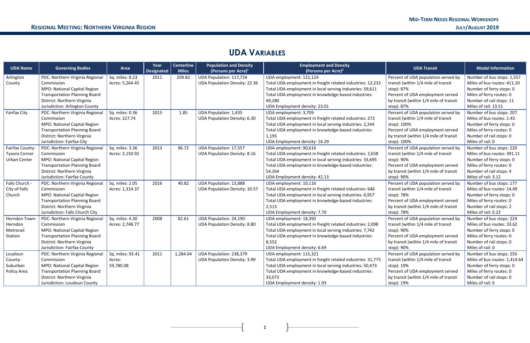## **UDA VARIABLES**

| <b>UDA Name</b>      | <b>Governing Bodies</b>              | Area             | Year<br><b>Designated</b> | <b>Centerline</b><br><b>Miles</b> | <b>Population and Density</b><br>(Persons per Acre) $1$ | <b>Employment and Density</b><br>(Persons per Acre) <sup>2</sup> | <b>UDA Transit</b>                     | <b>Modal Information</b>      |
|----------------------|--------------------------------------|------------------|---------------------------|-----------------------------------|---------------------------------------------------------|------------------------------------------------------------------|----------------------------------------|-------------------------------|
| Arlington            | PDC: Northern Virginia Regional      | Sq. miles: 8.23  | 2011                      | 209.82                            | UDA Population: 117,724                                 | UDA employment: 121,124                                          | Percent of UDA population served by    | Number of bus stops: 1,557    |
| County               | Commission                           | Acres: 5,264.45  |                           |                                   | <b>UDA Population Density: 22.36</b>                    | Total UDA employment in freight related industries: 12,233       | transit (within 1/4 mile of transit    | Miles of bus routes: 411.20   |
|                      | MPO: National Capital Region         |                  |                           |                                   |                                                         | Total UDA employment in local serving industries: 59,611         | stop): 87%                             | Number of ferry stops: 0      |
|                      | <b>Transportation Planning Board</b> |                  |                           |                                   |                                                         | Total UDA employment in knowledge-based industries:              | Percent of UDA employment served       | Miles of ferry routes: 0      |
|                      | District: Northern Virginia          |                  |                           |                                   |                                                         | 49,280                                                           | by transit (within 1/4 mile of transit | Number of rail stops: 11      |
|                      | Jurisdiction: Arlington County       |                  |                           |                                   |                                                         | UDA Employment density: 23.01                                    | stop): 87%                             | Miles of rail: 13.51          |
| <b>Fairfax City</b>  | PDC: Northern Virginia Regional      | Sq. miles: 0.36  | 2015                      | 1.85                              | <b>UDA Population: 1,435</b>                            | UDA employment: 3,709                                            | Percent of UDA population served by    | Number of bus stops: 207      |
|                      | Commission                           | Acres: 227.74    |                           |                                   | <b>UDA Population Density: 6.30</b>                     | Total UDA employment in freight related industries: 272          | transit (within 1/4 mile of transit    | Miles of bus routes: 1.43     |
|                      | MPO: National Capital Region         |                  |                           |                                   |                                                         | Total UDA employment in local serving industries: 2,244          | stop): 100%                            | Number of ferry stops: 0      |
|                      | <b>Transportation Planning Board</b> |                  |                           |                                   |                                                         | Total UDA employment in knowledge-based industries:              | Percent of UDA employment served       | Miles of ferry routes: 0      |
|                      | District: Northern Virginia          |                  |                           |                                   |                                                         | 1,193                                                            | by transit (within 1/4 mile of transit | Number of rail stops: 0       |
|                      | Jurisdiction: Fairfax City           |                  |                           |                                   |                                                         | UDA Employment density: 16.29                                    | stop): 100%                            | Miles of rail: 0              |
| Fairfax County-      | PDC: Northern Virginia Regional      | Sq. miles: 3.36  | 2013                      | 96.72                             | <b>UDA Population: 17,557</b>                           | UDA employment: 90,616                                           | Percent of UDA population served by    | Number of bus stops: 220      |
| <b>Tysons Corner</b> | Commission                           | Acres: 2,150.92  |                           |                                   | <b>UDA Population Density: 8.16</b>                     | Total UDA employment in freight related industries: 2,658        | transit (within 1/4 mile of transit    | Miles of bus routes: 391.11   |
| <b>Urban Center</b>  | MPO: National Capital Region         |                  |                           |                                   |                                                         | Total UDA employment in local serving industries: 33,695         | stop): 90%                             | Number of ferry stops: 0      |
|                      | <b>Transportation Planning Board</b> |                  |                           |                                   |                                                         | Total UDA employment in knowledge-based industries:              | Percent of UDA employment served       | Miles of ferry routes: 0      |
|                      | District: Northern Virginia          |                  |                           |                                   |                                                         | 54,264                                                           | by transit (within 1/4 mile of transit | Number of rail stops: 4       |
|                      | Jurisdiction: Fairfax County         |                  |                           |                                   |                                                         | UDA Employment density: 42.13                                    | stop): 90%                             | Miles of rail: 3.12           |
| Falls Church -       | PDC: Northern Virginia Regional      | Sq. miles: 2.05  | 2016                      | 40.82                             | UDA Population: 13,888                                  | UDA employment: 10,116                                           | Percent of UDA population served by    | Number of bus stops: 177      |
| City of Falls        | Commission                           | Acres: 1,314.37  |                           |                                   | <b>UDA Population Density: 10.57</b>                    | Total UDA employment in freight related industries: 646          | transit (within 1/4 mile of transit    | Miles of bus routes: 14.69    |
| Church               | MPO: National Capital Region         |                  |                           |                                   |                                                         | Total UDA employment in local serving industries: 6,957          | stop): 78%                             | Number of ferry stops: 0      |
|                      | <b>Transportation Planning Board</b> |                  |                           |                                   |                                                         | Total UDA employment in knowledge-based industries:              | Percent of UDA employment served       | Miles of ferry routes: 0      |
|                      | District: Northern Virginia          |                  |                           |                                   |                                                         | 2,513                                                            | by transit (within 1/4 mile of transit | Number of rail stops: 2       |
|                      | Jurisdiction: Falls Church City      |                  |                           |                                   |                                                         | UDA Employment density: 7.70                                     | stop): 78%                             | Miles of rail: 0.23           |
| Herndon Town-        | PDC: Northern Virginia Regional      | Sq. miles: 4.30  | 2008                      | 82.61                             | <b>UDA Population: 24,190</b>                           | UDA employment: 18,392                                           | Percent of UDA population served by    | Number of bus stops: 224      |
| Herndon              | Commission                           | Acres: 2,748.77  |                           |                                   | <b>UDA Population Density: 8.80</b>                     | Total UDA employment in freight related industries: 2,098        | transit (within 1/4 mile of transit    | Miles of bus routes: 33.62    |
| Metrorail            | MPO: National Capital Region         |                  |                           |                                   |                                                         | Total UDA employment in local serving industries: 7,742          | stop): 90%                             | Number of ferry stops: 0      |
| Station              | <b>Transportation Planning Board</b> |                  |                           |                                   |                                                         | Total UDA employment in knowledge-based industries:              | Percent of UDA employment served       | Miles of ferry routes: 0      |
|                      | District: Northern Virginia          |                  |                           |                                   |                                                         | 8,552                                                            | by transit (within 1/4 mile of transit | Number of rail stops: 0       |
|                      | Jurisdiction: Fairfax County         |                  |                           |                                   |                                                         | UDA Employment density: 6.69                                     | stop): 90%                             | Miles of rail: 0              |
| Loudoun              | PDC: Northern Virginia Regional      | Sq. miles: 93.41 | 2011                      | 1,284.04                          | UDA Population: 238,379                                 | UDA employment: 115,321                                          | Percent of UDA population served by    | Number of bus stops: 250      |
| County-              | Commission                           | Acres:           |                           |                                   | <b>UDA Population Density: 3.99</b>                     | Total UDA employment in freight related industries: 31,775       | transit (within 1/4 mile of transit    | Miles of bus routes: 1,414.64 |
| Suburban             | MPO: National Capital Region         | 59,780.08        |                           |                                   |                                                         | Total UDA employment in local serving industries: 50,473         | stop): 19%                             | Number of ferry stops: 0      |
| Policy Area          | <b>Transportation Planning Board</b> |                  |                           |                                   |                                                         | Total UDA employment in knowledge-based industries:              | Percent of UDA employment served       | Miles of ferry routes: 0      |
|                      | District: Northern Virginia          |                  |                           |                                   |                                                         | 33,073                                                           | by transit (within 1/4 mile of transit | Number of rail stops: 0       |
|                      | Jurisdiction: Loudoun County         |                  |                           |                                   |                                                         | UDA Employment density: 1.93                                     | stop): 19%                             | Miles of rail: 0              |

**1 1 1 1**